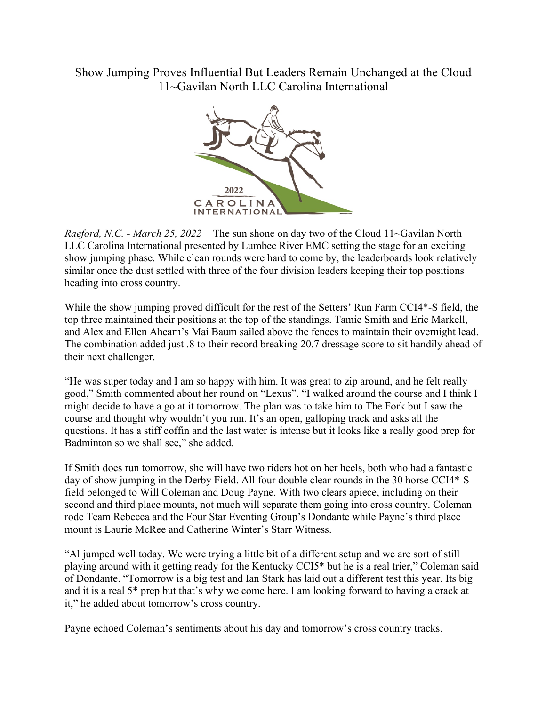## Show Jumping Proves Influential But Leaders Remain Unchanged at the Cloud 11~Gavilan North LLC Carolina International



*Raeford, N.C. - March 25, 2022* – The sun shone on day two of the Cloud 11~Gavilan North LLC Carolina International presented by Lumbee River EMC setting the stage for an exciting show jumping phase. While clean rounds were hard to come by, the leaderboards look relatively similar once the dust settled with three of the four division leaders keeping their top positions heading into cross country.

While the show jumping proved difficult for the rest of the Setters' Run Farm CCI4\*-S field, the top three maintained their positions at the top of the standings. Tamie Smith and Eric Markell, and Alex and Ellen Ahearn's Mai Baum sailed above the fences to maintain their overnight lead. The combination added just .8 to their record breaking 20.7 dressage score to sit handily ahead of their next challenger.

"He was super today and I am so happy with him. It was great to zip around, and he felt really good," Smith commented about her round on "Lexus". "I walked around the course and I think I might decide to have a go at it tomorrow. The plan was to take him to The Fork but I saw the course and thought why wouldn't you run. It's an open, galloping track and asks all the questions. It has a stiff coffin and the last water is intense but it looks like a really good prep for Badminton so we shall see," she added.

If Smith does run tomorrow, she will have two riders hot on her heels, both who had a fantastic day of show jumping in the Derby Field. All four double clear rounds in the 30 horse CCI4\*-S field belonged to Will Coleman and Doug Payne. With two clears apiece, including on their second and third place mounts, not much will separate them going into cross country. Coleman rode Team Rebecca and the Four Star Eventing Group's Dondante while Payne's third place mount is Laurie McRee and Catherine Winter's Starr Witness.

"Al jumped well today. We were trying a little bit of a different setup and we are sort of still playing around with it getting ready for the Kentucky CCI5\* but he is a real trier," Coleman said of Dondante. "Tomorrow is a big test and Ian Stark has laid out a different test this year. Its big and it is a real 5\* prep but that's why we come here. I am looking forward to having a crack at it," he added about tomorrow's cross country.

Payne echoed Coleman's sentiments about his day and tomorrow's cross country tracks.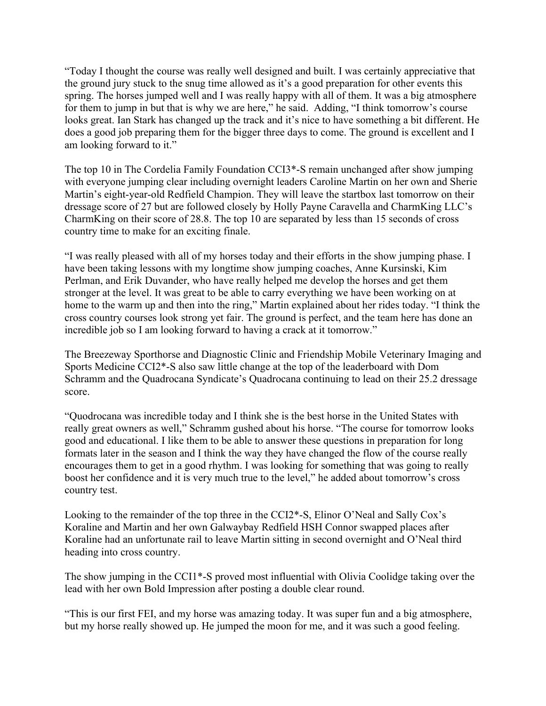"Today I thought the course was really well designed and built. I was certainly appreciative that the ground jury stuck to the snug time allowed as it's a good preparation for other events this spring. The horses jumped well and I was really happy with all of them. It was a big atmosphere for them to jump in but that is why we are here," he said. Adding, "I think tomorrow's course looks great. Ian Stark has changed up the track and it's nice to have something a bit different. He does a good job preparing them for the bigger three days to come. The ground is excellent and I am looking forward to it."

The top 10 in The Cordelia Family Foundation CCI3\*-S remain unchanged after show jumping with everyone jumping clear including overnight leaders Caroline Martin on her own and Sherie Martin's eight-year-old Redfield Champion. They will leave the startbox last tomorrow on their dressage score of 27 but are followed closely by Holly Payne Caravella and CharmKing LLC's CharmKing on their score of 28.8. The top 10 are separated by less than 15 seconds of cross country time to make for an exciting finale.

"I was really pleased with all of my horses today and their efforts in the show jumping phase. I have been taking lessons with my longtime show jumping coaches, Anne Kursinski, Kim Perlman, and Erik Duvander, who have really helped me develop the horses and get them stronger at the level. It was great to be able to carry everything we have been working on at home to the warm up and then into the ring," Martin explained about her rides today. "I think the cross country courses look strong yet fair. The ground is perfect, and the team here has done an incredible job so I am looking forward to having a crack at it tomorrow."

The Breezeway Sporthorse and Diagnostic Clinic and Friendship Mobile Veterinary Imaging and Sports Medicine CCI2\*-S also saw little change at the top of the leaderboard with Dom Schramm and the Quadrocana Syndicate's Quadrocana continuing to lead on their 25.2 dressage score.

"Quodrocana was incredible today and I think she is the best horse in the United States with really great owners as well," Schramm gushed about his horse. "The course for tomorrow looks good and educational. I like them to be able to answer these questions in preparation for long formats later in the season and I think the way they have changed the flow of the course really encourages them to get in a good rhythm. I was looking for something that was going to really boost her confidence and it is very much true to the level," he added about tomorrow's cross country test.

Looking to the remainder of the top three in the CCI2\*-S, Elinor O'Neal and Sally Cox's Koraline and Martin and her own Galwaybay Redfield HSH Connor swapped places after Koraline had an unfortunate rail to leave Martin sitting in second overnight and O'Neal third heading into cross country.

The show jumping in the CCI1\*-S proved most influential with Olivia Coolidge taking over the lead with her own Bold Impression after posting a double clear round.

"This is our first FEI, and my horse was amazing today. It was super fun and a big atmosphere, but my horse really showed up. He jumped the moon for me, and it was such a good feeling.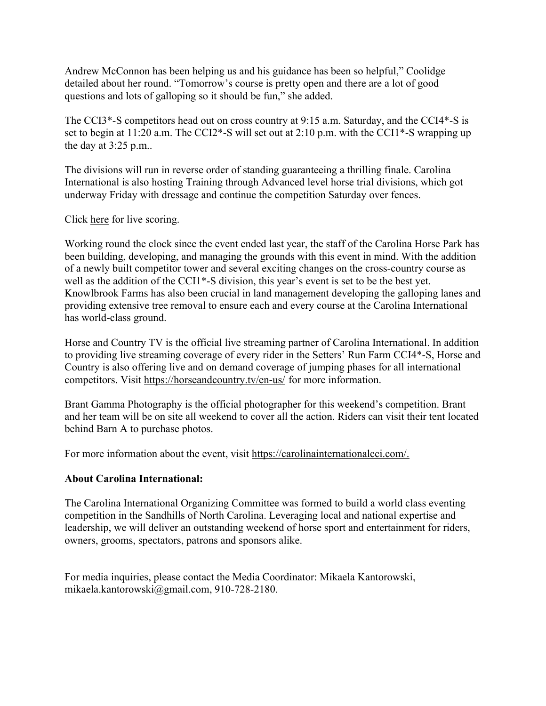Andrew McConnon has been helping us and his guidance has been so helpful," Coolidge detailed about her round. "Tomorrow's course is pretty open and there are a lot of good questions and lots of galloping so it should be fun," she added.

The CCI3\*-S competitors head out on cross country at 9:15 a.m. Saturday, and the CCI4\*-S is set to begin at 11:20 a.m. The CCI2\*-S will set out at 2:10 p.m. with the CCI1\*-S wrapping up the day at 3:25 p.m..

The divisions will run in reverse order of standing guaranteeing a thrilling finale. Carolina International is also hosting Training through Advanced level horse trial divisions, which got underway Friday with dressage and continue the competition Saturday over fences.

Click here for live scoring.

Working round the clock since the event ended last year, the staff of the Carolina Horse Park has been building, developing, and managing the grounds with this event in mind. With the addition of a newly built competitor tower and several exciting changes on the cross-country course as well as the addition of the CCI1\*-S division, this year's event is set to be the best yet. Knowlbrook Farms has also been crucial in land management developing the galloping lanes and providing extensive tree removal to ensure each and every course at the Carolina International has world-class ground.

Horse and Country TV is the official live streaming partner of Carolina International. In addition to providing live streaming coverage of every rider in the Setters' Run Farm CCI4\*-S, Horse and Country is also offering live and on demand coverage of jumping phases for all international competitors. Visit https://horseandcountry.tv/en-us/ for more information.

Brant Gamma Photography is the official photographer for this weekend's competition. Brant and her team will be on site all weekend to cover all the action. Riders can visit their tent located behind Barn A to purchase photos.

For more information about the event, visit https://carolinainternationalcci.com/.

## **About Carolina International:**

The Carolina International Organizing Committee was formed to build a world class eventing competition in the Sandhills of North Carolina. Leveraging local and national expertise and leadership, we will deliver an outstanding weekend of horse sport and entertainment for riders, owners, grooms, spectators, patrons and sponsors alike.

For media inquiries, please contact the Media Coordinator: Mikaela Kantorowski, mikaela.kantorowski@gmail.com, 910-728-2180.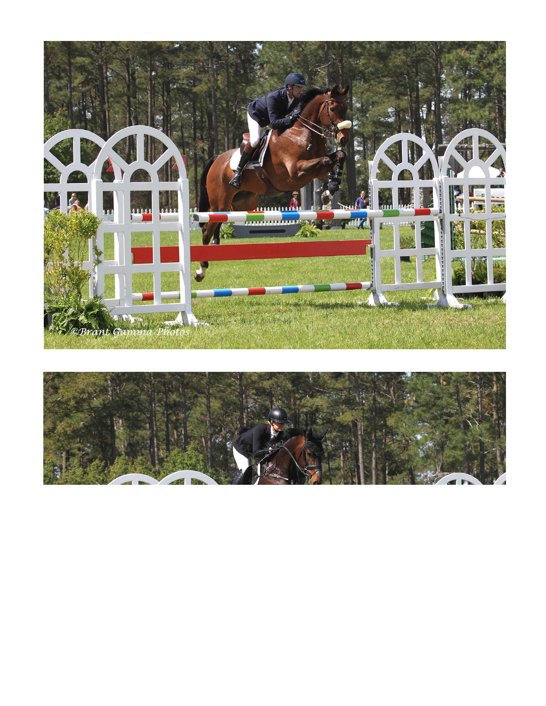